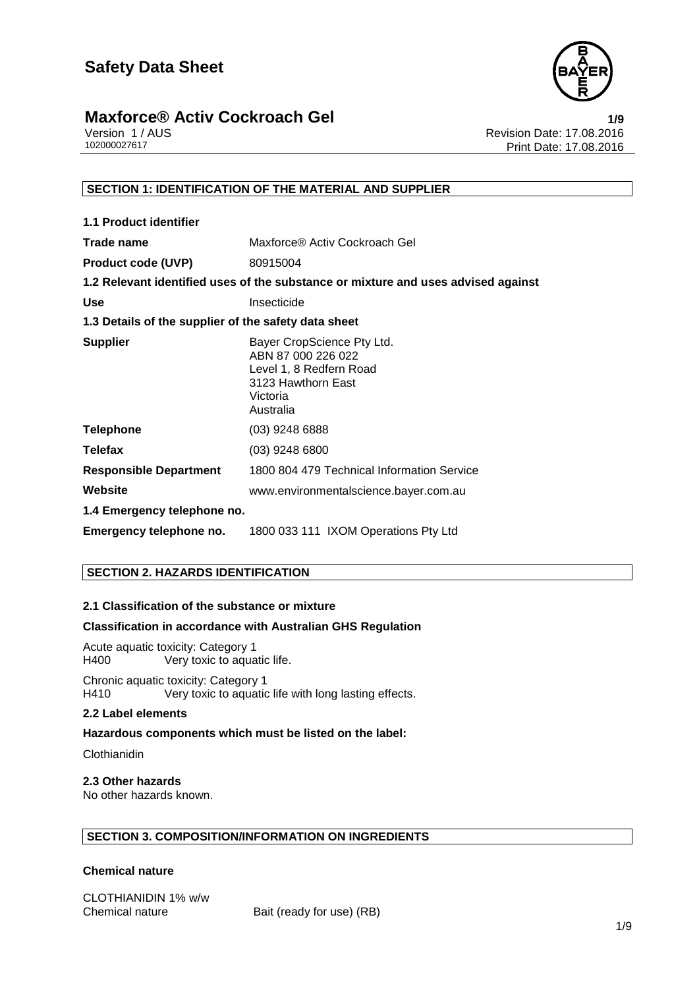

# **Maxforce® Activ Cockroach Gel**<br>1/9 ersion 1/AUS<br>Revision Date: 17.08.2016

Version 1 / AUS<br>102000027617<br>Print Date: 17.08.2016 Print Date: 17.08.2016

#### **SECTION 1: IDENTIFICATION OF THE MATERIAL AND SUPPLIER**

| <b>1.1 Product identifier</b>                        |                                                                                                                            |
|------------------------------------------------------|----------------------------------------------------------------------------------------------------------------------------|
| Trade name                                           | Maxforce® Activ Cockroach Gel                                                                                              |
| <b>Product code (UVP)</b>                            | 80915004                                                                                                                   |
|                                                      | 1.2 Relevant identified uses of the substance or mixture and uses advised against                                          |
| <b>Use</b>                                           | Insecticide                                                                                                                |
| 1.3 Details of the supplier of the safety data sheet |                                                                                                                            |
| <b>Supplier</b>                                      | Bayer CropScience Pty Ltd.<br>ABN 87 000 226 022<br>Level 1, 8 Redfern Road<br>3123 Hawthorn East<br>Victoria<br>Australia |
| <b>Telephone</b>                                     | $(03)$ 9248 6888                                                                                                           |
| <b>Telefax</b>                                       | $(03)$ 9248 6800                                                                                                           |
| <b>Responsible Department</b>                        | 1800 804 479 Technical Information Service                                                                                 |
| Website                                              | www.environmentalscience.bayer.com.au                                                                                      |
| 1.4 Emergency telephone no.                          |                                                                                                                            |
| Emergency telephone no.                              | 1800 033 111 IXOM Operations Pty Ltd                                                                                       |

#### **SECTION 2. HAZARDS IDENTIFICATION**

#### **2.1 Classification of the substance or mixture**

#### **Classification in accordance with Australian GHS Regulation**

Acute aquatic toxicity: Category 1 Very toxic to aquatic life.

Chronic aquatic toxicity: Category 1<br>H410 Very toxic to aquatic Very toxic to aquatic life with long lasting effects.

#### **2.2 Label elements**

#### **Hazardous components which must be listed on the label:**

Clothianidin

#### **2.3 Other hazards**

No other hazards known.

#### **SECTION 3. COMPOSITION/INFORMATION ON INGREDIENTS**

#### **Chemical nature**

CLOTHIANIDIN 1% w/w Chemical nature **Bait (ready for use)** (RB)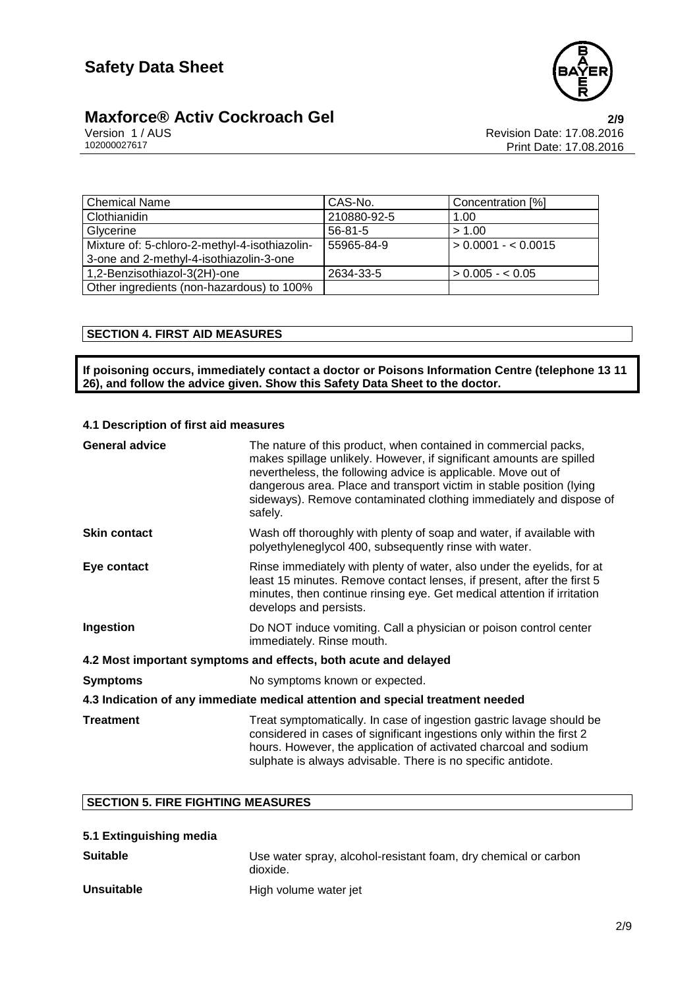

### **Maxforce® Activ Cockroach Gel 2/9**

Version 1 / AUS<br>102000027617<br>Print Date: 17.08.2016 Print Date: 17.08.2016

| <b>Chemical Name</b>                          | CAS-No.       | Concentration [%]   |
|-----------------------------------------------|---------------|---------------------|
| Clothianidin                                  | 210880-92-5   | 1.00                |
| Glycerine                                     | $56 - 81 - 5$ | > 1.00              |
| Mixture of: 5-chloro-2-methyl-4-isothiazolin- | 55965-84-9    | $> 0.0001 - 0.0015$ |
| 3-one and 2-methyl-4-isothiazolin-3-one       |               |                     |
| 1,2-Benzisothiazol-3(2H)-one                  | 2634-33-5     | $> 0.005 - 0.05$    |
| Other ingredients (non-hazardous) to 100%     |               |                     |

#### **SECTION 4. FIRST AID MEASURES**

**If poisoning occurs, immediately contact a doctor or Poisons Information Centre (telephone 13 11 26), and follow the advice given. Show this Safety Data Sheet to the doctor.**

#### **4.1 Description of first aid measures General advice** The nature of this product, when contained in commercial packs, makes spillage unlikely. However, if significant amounts are spilled nevertheless, the following advice is applicable. Move out of dangerous area. Place and transport victim in stable position (lying sideways). Remove contaminated clothing immediately and dispose of safely. **Skin contact** Wash off thoroughly with plenty of soap and water, if available with polyethyleneglycol 400, subsequently rinse with water. **Eye contact Rinse immediately with plenty of water, also under the eyelids, for at** least 15 minutes. Remove contact lenses, if present, after the first 5 minutes, then continue rinsing eye. Get medical attention if irritation develops and persists. **Ingestion** Do NOT induce vomiting. Call a physician or poison control center immediately. Rinse mouth. **4.2 Most important symptoms and effects, both acute and delayed Symptoms** No symptoms known or expected. **4.3 Indication of any immediate medical attention and special treatment needed Treatment** Treat symptomatically. In case of ingestion gastric lavage should be considered in cases of significant ingestions only within the first 2 hours. However, the application of activated charcoal and sodium sulphate is always advisable. There is no specific antidote.

#### **SECTION 5. FIRE FIGHTING MEASURES**

| <b>Suitable</b>   | Use water spray, alcohol-resistant foam, dry chemical or carbon<br>dioxide. |
|-------------------|-----------------------------------------------------------------------------|
| <b>Unsuitable</b> | High volume water jet                                                       |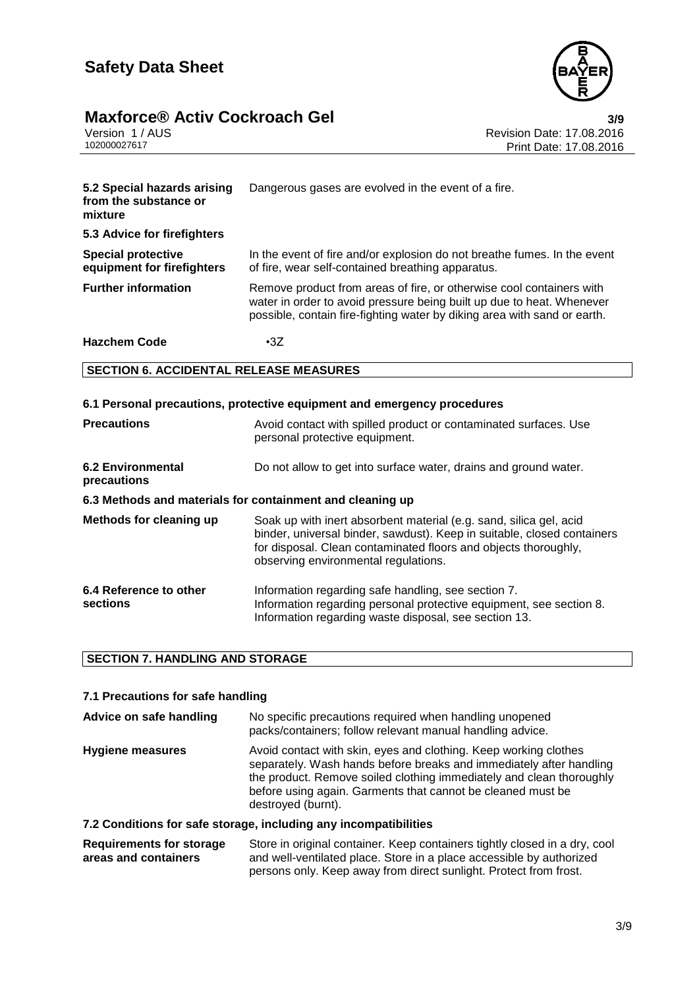

# **Maxforce® Activ Cockroach Gel**<br>Version 1/AUS **17.08.2016** Version 1/AUS

**precautions**

Version 1 / AUS<br>102000027617<br>Print Date: 17.08.2016 Print Date: 17.08.2016

| 5.2 Special hazards arising<br>from the substance or<br>mixture         | Dangerous gases are evolved in the event of a fire.                                                                                                                                                                       |  |
|-------------------------------------------------------------------------|---------------------------------------------------------------------------------------------------------------------------------------------------------------------------------------------------------------------------|--|
| 5.3 Advice for firefighters                                             |                                                                                                                                                                                                                           |  |
| <b>Special protective</b><br>equipment for firefighters                 | In the event of fire and/or explosion do not breathe fumes. In the event<br>of fire, wear self-contained breathing apparatus.                                                                                             |  |
| <b>Further information</b>                                              | Remove product from areas of fire, or otherwise cool containers with<br>water in order to avoid pressure being built up due to heat. Whenever<br>possible, contain fire-fighting water by diking area with sand or earth. |  |
| <b>Hazchem Code</b>                                                     | $\cdot$ 3Z                                                                                                                                                                                                                |  |
| <b>SECTION 6. ACCIDENTAL RELEASE MEASURES</b>                           |                                                                                                                                                                                                                           |  |
| 6.1 Personal precautions, protective equipment and emergency procedures |                                                                                                                                                                                                                           |  |
| <b>Precautions</b>                                                      | Avoid contact with spilled product or contaminated surfaces. Use<br>personal protective equipment.                                                                                                                        |  |
| <b>6.2 Environmental</b>                                                | Do not allow to get into surface water, drains and ground water.                                                                                                                                                          |  |

#### **6.3 Methods and materials for containment and cleaning up**

| Methods for cleaning up | Soak up with inert absorbent material (e.g. sand, silica gel, acid<br>binder, universal binder, sawdust). Keep in suitable, closed containers<br>for disposal. Clean contaminated floors and objects thoroughly,<br>observing environmental regulations. |
|-------------------------|----------------------------------------------------------------------------------------------------------------------------------------------------------------------------------------------------------------------------------------------------------|
| 6.4 Reference to other  | Information regarding safe handling, see section 7.                                                                                                                                                                                                      |

| ישואט שיוויטושוטויד. | monnation regarding sare nariumly, see section r.                   |
|----------------------|---------------------------------------------------------------------|
| sections             | Information regarding personal protective equipment, see section 8. |
|                      | Information regarding waste disposal, see section 13.               |

#### **SECTION 7. HANDLING AND STORAGE**

#### **7.1 Precautions for safe handling**

**Advice on safe handling** No specific precautions required when handling unopened packs/containers; follow relevant manual handling advice. **Hygiene measures** Avoid contact with skin, eyes and clothing. Keep working clothes separately. Wash hands before breaks and immediately after handling the product. Remove soiled clothing immediately and clean thoroughly before using again. Garments that cannot be cleaned must be destroyed (burnt).

#### **7.2 Conditions for safe storage, including any incompatibilities**

**Requirements for storage areas and containers** Store in original container. Keep containers tightly closed in a dry, cool and well-ventilated place. Store in a place accessible by authorized persons only. Keep away from direct sunlight. Protect from frost.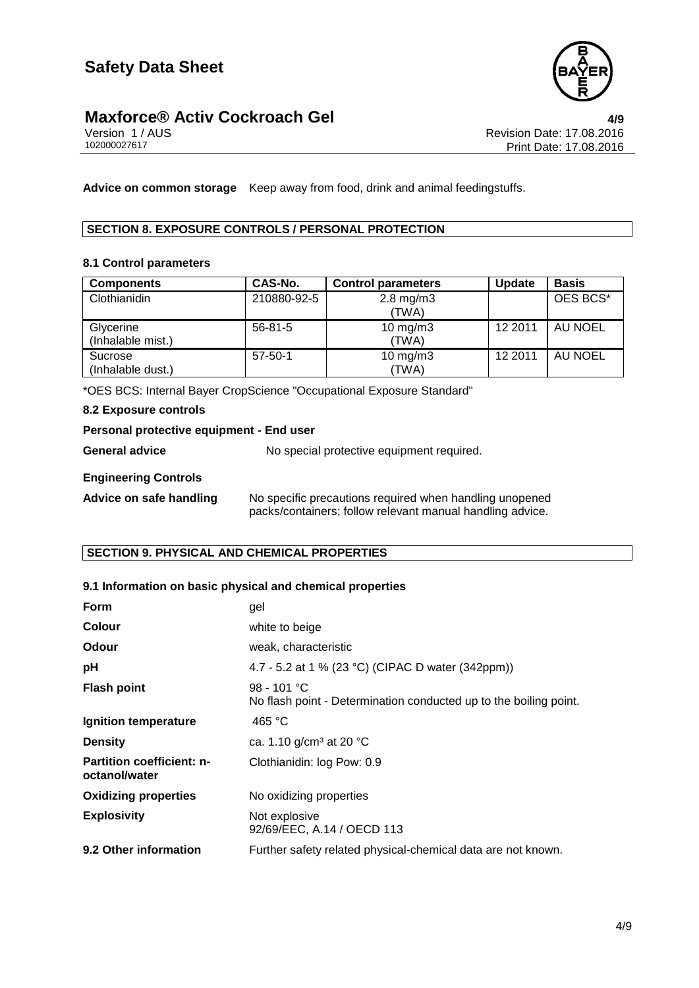

# **Maxforce® Activ Cockroach Gel**<br>Version 1/AUS **Activ Cockroach Gel Access Active Active Active Active Active Active Active Active Active Act**

**Advice on common storage** Keep away from food, drink and animal feedingstuffs.

#### **SECTION 8. EXPOSURE CONTROLS / PERSONAL PROTECTION**

#### **8.1 Control parameters**

| <b>Components</b>              | CAS-No.       | <b>Control parameters</b>     | <b>Update</b> | <b>Basis</b> |
|--------------------------------|---------------|-------------------------------|---------------|--------------|
| Clothianidin                   | 210880-92-5   | $2.8 \text{ mg/m}$ 3<br>(TWA) |               | OES BCS*     |
| Glycerine<br>(Inhalable mist.) | $56 - 81 - 5$ | $10$ mg/m $3$<br>(TWA)        | 12 2011       | AU NOEL      |
| Sucrose<br>(Inhalable dust.)   | $57 - 50 - 1$ | $10$ mg/m $3$<br>(TWA)        | 12 2011       | AU NOEL      |

\*OES BCS: Internal Bayer CropScience "Occupational Exposure Standard"

#### **8.2 Exposure controls**

### **Personal protective equipment - End user** General advice **No special protective equipment required.** No special protective equipment required.

**Engineering Controls**

Advice on safe handling No specific precautions required when handling unopened packs/containers; follow relevant manual handling advice.

### **SECTION 9. PHYSICAL AND CHEMICAL PROPERTIES**

#### **9.1 Information on basic physical and chemical properties**

| <b>Form</b>                                       | gel                                                                              |
|---------------------------------------------------|----------------------------------------------------------------------------------|
| Colour                                            | white to beige                                                                   |
| Odour                                             | weak, characteristic                                                             |
| рH                                                | 4.7 - 5.2 at 1 % (23 °C) (CIPAC D water (342ppm))                                |
| <b>Flash point</b>                                | 98 - 101 °C<br>No flash point - Determination conducted up to the boiling point. |
| Ignition temperature                              | 465 $^{\circ}$ C                                                                 |
| <b>Density</b>                                    | ca. 1.10 g/cm <sup>3</sup> at 20 $^{\circ}$ C                                    |
| <b>Partition coefficient: n-</b><br>octanol/water | Clothianidin: log Pow: 0.9                                                       |
| <b>Oxidizing properties</b>                       | No oxidizing properties                                                          |
| <b>Explosivity</b>                                | Not explosive<br>92/69/EEC, A.14 / OECD 113                                      |
| 9.2 Other information                             | Further safety related physical-chemical data are not known.                     |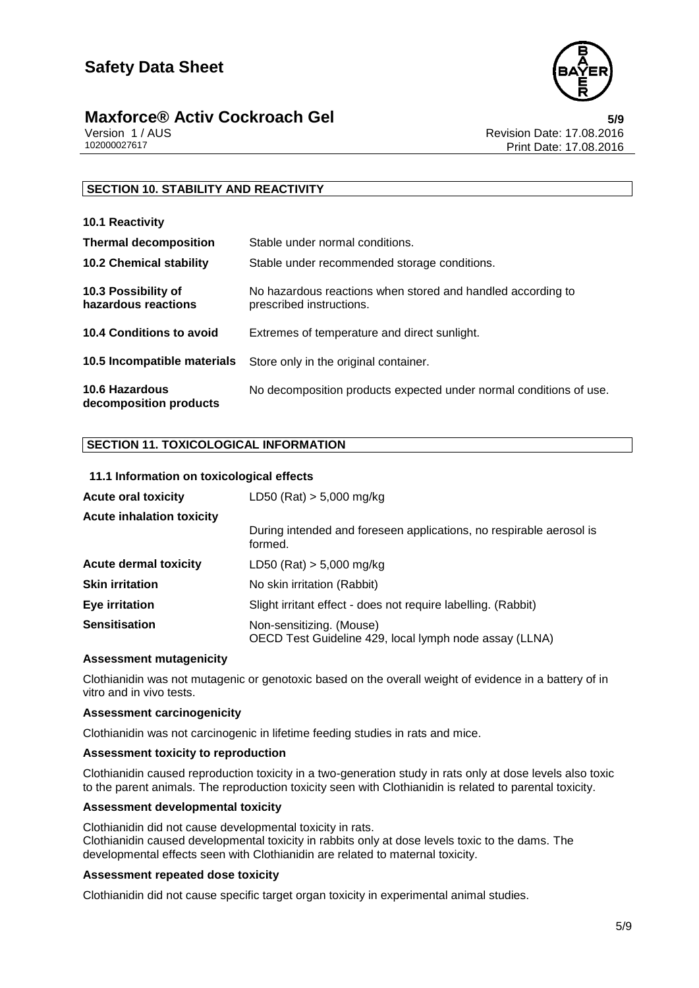



Version 1 / AUS<br>102000027617<br>Print Date: 17.08.2016 Print Date: 17.08.2016

#### **SECTION 10. STABILITY AND REACTIVITY**

| 10.1 Reactivity                            |                                                                                         |
|--------------------------------------------|-----------------------------------------------------------------------------------------|
| <b>Thermal decomposition</b>               | Stable under normal conditions.                                                         |
| <b>10.2 Chemical stability</b>             | Stable under recommended storage conditions.                                            |
| 10.3 Possibility of<br>hazardous reactions | No hazardous reactions when stored and handled according to<br>prescribed instructions. |
| <b>10.4 Conditions to avoid</b>            | Extremes of temperature and direct sunlight.                                            |
| 10.5 Incompatible materials                | Store only in the original container.                                                   |
| 10.6 Hazardous<br>decomposition products   | No decomposition products expected under normal conditions of use.                      |

#### **SECTION 11. TOXICOLOGICAL INFORMATION**

| 11.1 Information on toxicological effects |                                                                                    |
|-------------------------------------------|------------------------------------------------------------------------------------|
| <b>Acute oral toxicity</b>                | LD50 (Rat) $> 5,000$ mg/kg                                                         |
| <b>Acute inhalation toxicity</b>          | During intended and foreseen applications, no respirable aerosol is<br>formed.     |
| <b>Acute dermal toxicity</b>              | LD50 (Rat) $> 5,000$ mg/kg                                                         |
| <b>Skin irritation</b>                    | No skin irritation (Rabbit)                                                        |
| Eye irritation                            | Slight irritant effect - does not require labelling. (Rabbit)                      |
| <b>Sensitisation</b>                      | Non-sensitizing. (Mouse)<br>OECD Test Guideline 429, local lymph node assay (LLNA) |

#### **Assessment mutagenicity**

Clothianidin was not mutagenic or genotoxic based on the overall weight of evidence in a battery of in vitro and in vivo tests.

#### **Assessment carcinogenicity**

Clothianidin was not carcinogenic in lifetime feeding studies in rats and mice.

#### **Assessment toxicity to reproduction**

Clothianidin caused reproduction toxicity in a two-generation study in rats only at dose levels also toxic to the parent animals. The reproduction toxicity seen with Clothianidin is related to parental toxicity.

#### **Assessment developmental toxicity**

Clothianidin did not cause developmental toxicity in rats. Clothianidin caused developmental toxicity in rabbits only at dose levels toxic to the dams. The developmental effects seen with Clothianidin are related to maternal toxicity.

#### **Assessment repeated dose toxicity**

Clothianidin did not cause specific target organ toxicity in experimental animal studies.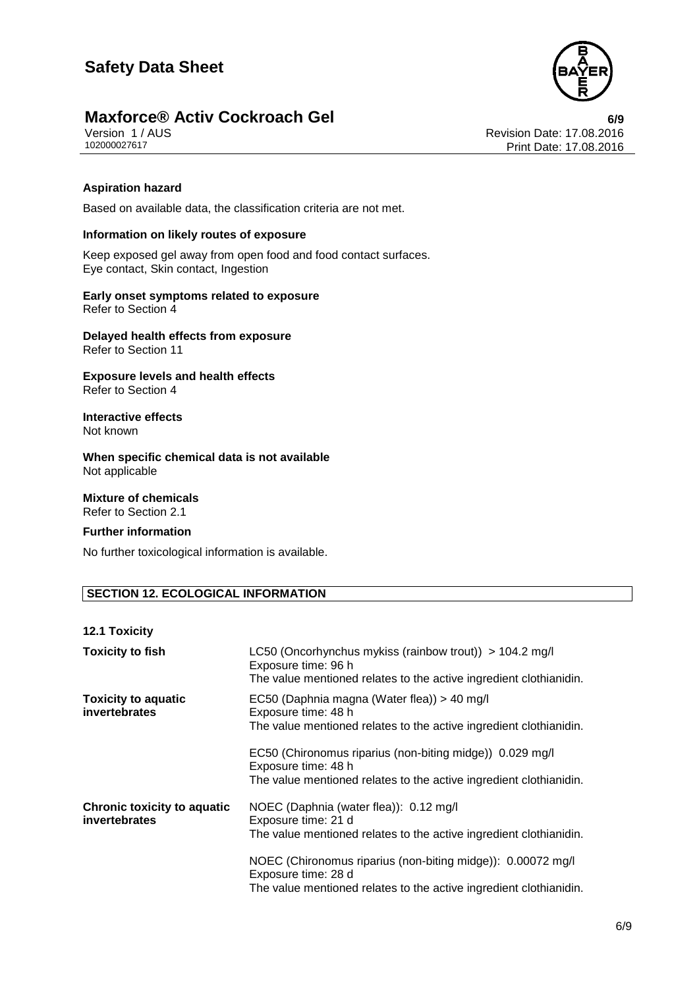

# **Maxforce® Activ Cockroach Gel**<br>Version 1/AUS **COCKroach Gel 6/9** Revision Date: 17.08.2016

Version 1 / AUS<br>102000027617<br>Print Date: 17.08.2016 Print Date: 17.08.2016

#### **Aspiration hazard**

Based on available data, the classification criteria are not met.

#### **Information on likely routes of exposure**

Keep exposed gel away from open food and food contact surfaces. Eye contact, Skin contact, Ingestion

**Early onset symptoms related to exposure** Refer to Section 4

**Delayed health effects from exposure** Refer to Section 11

**Exposure levels and health effects** Refer to Section 4

**Interactive effects** Not known

**When specific chemical data is not available** Not applicable

**Mixture of chemicals** Refer to Section 2.1

**Further information**

No further toxicological information is available.

#### **SECTION 12. ECOLOGICAL INFORMATION**

#### **12.1 Toxicity**

| <b>Toxicity to fish</b>                             | LC50 (Oncorhynchus mykiss (rainbow trout)) > 104.2 mg/l<br>Exposure time: 96 h<br>The value mentioned relates to the active ingredient clothianidin.     |
|-----------------------------------------------------|----------------------------------------------------------------------------------------------------------------------------------------------------------|
| <b>Toxicity to aquatic</b><br>invertebrates         | EC50 (Daphnia magna (Water flea)) > 40 mg/l<br>Exposure time: 48 h<br>The value mentioned relates to the active ingredient clothianidin.                 |
|                                                     | EC50 (Chironomus riparius (non-biting midge)) 0.029 mg/l<br>Exposure time: 48 h<br>The value mentioned relates to the active ingredient clothianidin.    |
| <b>Chronic toxicity to aquatic</b><br>invertebrates | NOEC (Daphnia (water flea)): 0.12 mg/l<br>Exposure time: 21 d<br>The value mentioned relates to the active ingredient clothianidin.                      |
|                                                     | NOEC (Chironomus riparius (non-biting midge)): 0.00072 mg/l<br>Exposure time: 28 d<br>The value mentioned relates to the active ingredient clothianidin. |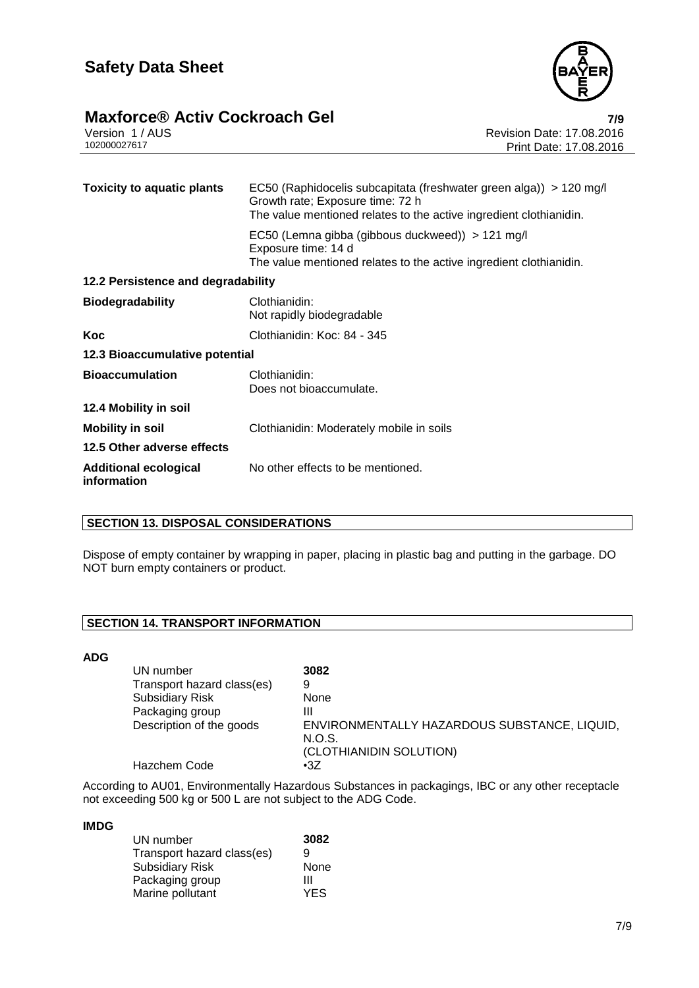

### **Maxforce® Activ Cockroach Gel 7/9**

|              | Version 1/AUS |  |
|--------------|---------------|--|
| 102000027617 |               |  |

Revision Date: 17.08.2016 Print Date: 17.08.2016

| <b>Toxicity to aquatic plants</b>           | EC50 (Raphidocelis subcapitata (freshwater green alga)) > 120 mg/l<br>Growth rate; Exposure time: 72 h<br>The value mentioned relates to the active ingredient clothianidin. |  |
|---------------------------------------------|------------------------------------------------------------------------------------------------------------------------------------------------------------------------------|--|
|                                             | EC50 (Lemna gibba (gibbous duckweed)) > 121 mg/l<br>Exposure time: 14 d<br>The value mentioned relates to the active ingredient clothianidin.                                |  |
| 12.2 Persistence and degradability          |                                                                                                                                                                              |  |
| <b>Biodegradability</b>                     | Clothianidin:<br>Not rapidly biodegradable                                                                                                                                   |  |
| Koc                                         | Clothianidin: Koc: 84 - 345                                                                                                                                                  |  |
| 12.3 Bioaccumulative potential              |                                                                                                                                                                              |  |
| <b>Bioaccumulation</b>                      | Clothianidin:<br>Does not bioaccumulate.                                                                                                                                     |  |
| 12.4 Mobility in soil                       |                                                                                                                                                                              |  |
| <b>Mobility in soil</b>                     | Clothianidin: Moderately mobile in soils                                                                                                                                     |  |
| 12.5 Other adverse effects                  |                                                                                                                                                                              |  |
| <b>Additional ecological</b><br>information | No other effects to be mentioned.                                                                                                                                            |  |

#### **SECTION 13. DISPOSAL CONSIDERATIONS**

Dispose of empty container by wrapping in paper, placing in plastic bag and putting in the garbage. DO NOT burn empty containers or product.

#### **SECTION 14. TRANSPORT INFORMATION**

#### **ADG**

| UN number                  | 3082                                                   |
|----------------------------|--------------------------------------------------------|
| Transport hazard class(es) | 9                                                      |
| <b>Subsidiary Risk</b>     | None                                                   |
| Packaging group            | Ш                                                      |
| Description of the goods   | ENVIRONMENTALLY HAZARDOUS SUBSTANCE, LIQUID,<br>N.O.S. |
|                            | (CLOTHIANIDIN SOLUTION)                                |
| Hazchem Code               | $\cdot 37$                                             |

According to AU01, Environmentally Hazardous Substances in packagings, IBC or any other receptacle not exceeding 500 kg or 500 L are not subject to the ADG Code.

#### **IMDG**

| UN number                  | 3082       |
|----------------------------|------------|
| Transport hazard class(es) | 9          |
| <b>Subsidiary Risk</b>     | None       |
| Packaging group            | ш          |
| Marine pollutant           | <b>YES</b> |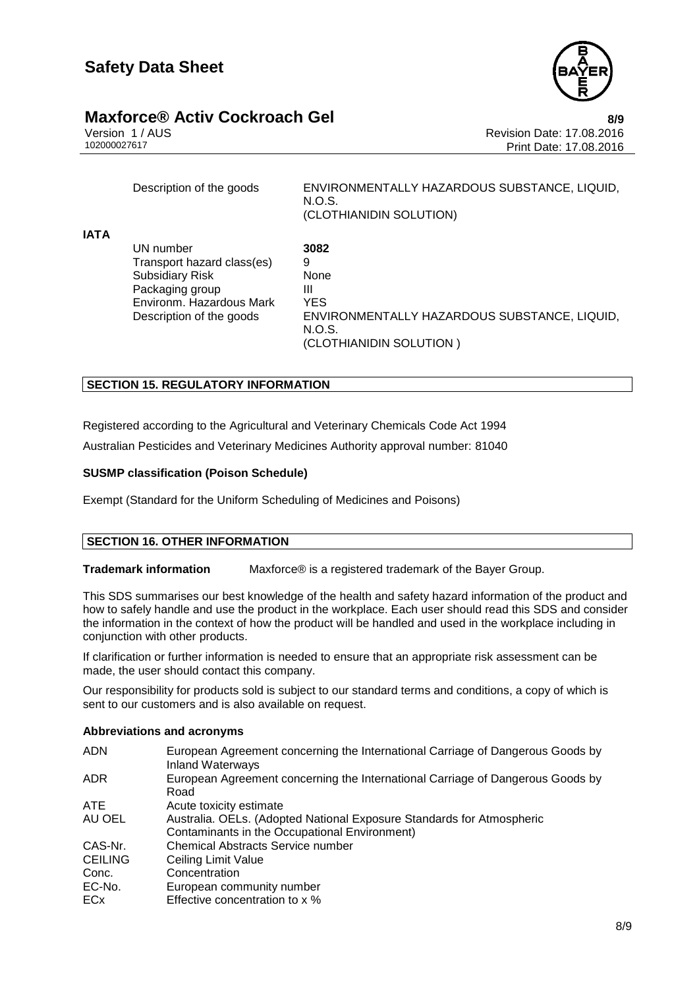

### **Maxforce®** Activ Cockroach Gel **8/9 8/9**

Version 1 / AUS<br>102000027617<br>Print Date: 17.08.2016 Print Date: 17.08.2016

Description of the goods ENVIRONMENTALLY HAZARDOUS SUBSTANCE, LIQUID, N.O.S. (CLOTHIANIDIN SOLUTION) **IATA** UN number **3082** Transport hazard class(es) 9 Subsidiary Risk None Packaging group III Environm. Hazardous Mark YES Description of the goods ENVIRONMENTALLY HAZARDOUS SUBSTANCE, LIQUID, N.O.S. (CLOTHIANIDIN SOLUTION )

#### **SECTION 15. REGULATORY INFORMATION**

Registered according to the Agricultural and Veterinary Chemicals Code Act 1994

Australian Pesticides and Veterinary Medicines Authority approval number: 81040

#### **SUSMP classification (Poison Schedule)**

Exempt (Standard for the Uniform Scheduling of Medicines and Poisons)

#### **SECTION 16. OTHER INFORMATION**

**Trademark information** Maxforce® is a registered trademark of the Bayer Group.

This SDS summarises our best knowledge of the health and safety hazard information of the product and how to safely handle and use the product in the workplace. Each user should read this SDS and consider the information in the context of how the product will be handled and used in the workplace including in conjunction with other products.

If clarification or further information is needed to ensure that an appropriate risk assessment can be made, the user should contact this company.

Our responsibility for products sold is subject to our standard terms and conditions, a copy of which is sent to our customers and is also available on request.

#### **Abbreviations and acronyms**

| <b>ADN</b>     | European Agreement concerning the International Carriage of Dangerous Goods by<br><b>Inland Waterways</b> |
|----------------|-----------------------------------------------------------------------------------------------------------|
| ADR.           | European Agreement concerning the International Carriage of Dangerous Goods by<br>Road                    |
| <b>ATE</b>     | Acute toxicity estimate                                                                                   |
| AU OEL         | Australia. OELs. (Adopted National Exposure Standards for Atmospheric                                     |
|                | Contaminants in the Occupational Environment)                                                             |
| CAS-Nr.        | <b>Chemical Abstracts Service number</b>                                                                  |
| <b>CEILING</b> | Ceiling Limit Value                                                                                       |
| Conc.          | Concentration                                                                                             |
| EC-No.         | European community number                                                                                 |
| <b>ECx</b>     | Effective concentration to x %                                                                            |